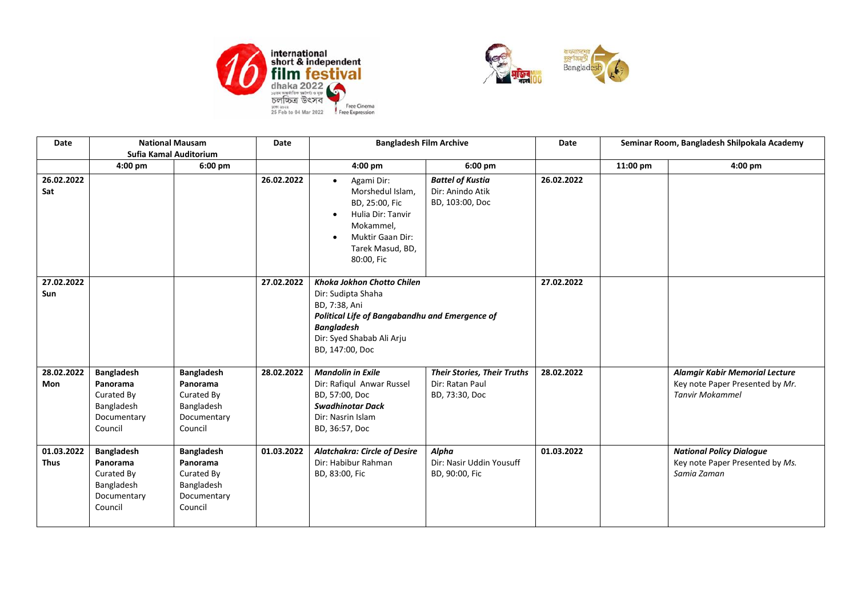



| Date                      | <b>National Mausam</b>                                                              |                                                                                     | Date       | <b>Bangladesh Film Archive</b>                                                                                                                                                                  |                                                                         | Date       | Seminar Room, Bangladesh Shilpokala Academy |                                                                                                    |
|---------------------------|-------------------------------------------------------------------------------------|-------------------------------------------------------------------------------------|------------|-------------------------------------------------------------------------------------------------------------------------------------------------------------------------------------------------|-------------------------------------------------------------------------|------------|---------------------------------------------|----------------------------------------------------------------------------------------------------|
|                           | Sufia Kamal Auditorium                                                              |                                                                                     |            |                                                                                                                                                                                                 |                                                                         |            |                                             |                                                                                                    |
|                           | $4:00$ pm                                                                           | $6:00$ pm                                                                           |            | 4:00 pm                                                                                                                                                                                         | $6:00$ pm                                                               |            | 11:00 pm                                    | $4:00 \text{ pm}$                                                                                  |
| 26.02.2022<br>Sat         |                                                                                     |                                                                                     | 26.02.2022 | Agami Dir:<br>$\bullet$<br>Morshedul Islam,<br>BD, 25:00, Fic<br>Hulia Dir: Tanvir<br>Mokammel,<br>Muktir Gaan Dir:<br>$\bullet$<br>Tarek Masud, BD,<br>80:00, Fic                              | <b>Battel of Kustia</b><br>Dir: Anindo Atik<br>BD, 103:00, Doc          | 26.02.2022 |                                             |                                                                                                    |
| 27.02.2022<br>Sun         |                                                                                     |                                                                                     | 27.02.2022 | <b>Khoka Jokhon Chotto Chilen</b><br>Dir: Sudipta Shaha<br>BD, 7:38, Ani<br>Political Life of Bangabandhu and Emergence of<br><b>Bangladesh</b><br>Dir: Syed Shabab Ali Arju<br>BD, 147:00, Doc |                                                                         | 27.02.2022 |                                             |                                                                                                    |
| 28.02.2022<br>Mon         | <b>Bangladesh</b><br>Panorama<br>Curated By<br>Bangladesh<br>Documentary<br>Council | <b>Bangladesh</b><br>Panorama<br>Curated By<br>Bangladesh<br>Documentary<br>Council | 28.02.2022 | <b>Mandolin in Exile</b><br>Dir: Rafiqul Anwar Russel<br>BD, 57:00, Doc<br><b>Swadhinotar Dack</b><br>Dir: Nasrin Islam<br>BD, 36:57, Doc                                                       | <b>Their Stories, Their Truths</b><br>Dir: Ratan Paul<br>BD, 73:30, Doc | 28.02.2022 |                                             | <b>Alamgir Kabir Memorial Lecture</b><br>Key note Paper Presented by Mr.<br><b>Tanvir Mokammel</b> |
| 01.03.2022<br><b>Thus</b> | <b>Bangladesh</b><br>Panorama<br>Curated By<br>Bangladesh<br>Documentary<br>Council | <b>Bangladesh</b><br>Panorama<br>Curated By<br>Bangladesh<br>Documentary<br>Council | 01.03.2022 | <b>Alatchakra: Circle of Desire</b><br>Dir: Habibur Rahman<br>BD, 83:00, Fic                                                                                                                    | Alpha<br>Dir: Nasir Uddin Yousuff<br>BD, 90:00, Fic                     | 01.03.2022 |                                             | <b>National Policy Dialogue</b><br>Key note Paper Presented by Ms.<br>Samia Zaman                  |